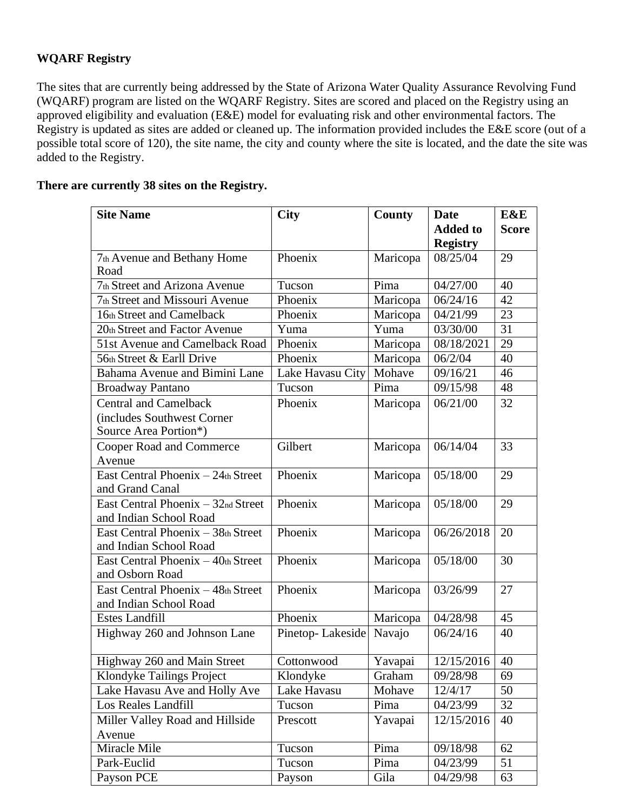## **WQARF Registry**

The sites that are currently being addressed by the State of Arizona Water Quality Assurance Revolving Fund (WQARF) program are listed on the WQARF Registry. Sites are scored and placed on the Registry using an approved eligibility and evaluation (E&E) model for evaluating risk and other environmental factors. The Registry is updated as sites are added or cleaned up. The information provided includes the E&E score (out of a possible total score of 120), the site name, the city and county where the site is located, and the date the site was added to the Registry.

## **There are currently 38 sites on the Registry.**

| <b>Site Name</b>                   | <b>City</b>      | County   | <b>Date</b>     | E&E          |
|------------------------------------|------------------|----------|-----------------|--------------|
|                                    |                  |          | <b>Added to</b> | <b>Score</b> |
|                                    |                  |          | <b>Registry</b> |              |
| 7th Avenue and Bethany Home        | Phoenix          | Maricopa | 08/25/04        | 29           |
| Road                               |                  |          |                 |              |
| 7th Street and Arizona Avenue      | Tucson           | Pima     | 04/27/00        | 40           |
| 7th Street and Missouri Avenue     | Phoenix          | Maricopa | 06/24/16        | 42           |
| 16th Street and Camelback          | Phoenix          | Maricopa | 04/21/99        | 23           |
| 20th Street and Factor Avenue      | Yuma             | Yuma     | 03/30/00        | 31           |
| 51st Avenue and Camelback Road     | Phoenix          | Maricopa | 08/18/2021      | 29           |
| 56th Street & Earll Drive          | Phoenix          | Maricopa | 06/2/04         | 40           |
| Bahama Avenue and Bimini Lane      | Lake Havasu City | Mohave   | 09/16/21        | 46           |
| <b>Broadway Pantano</b>            | Tucson           | Pima     | 09/15/98        | 48           |
| <b>Central and Camelback</b>       | Phoenix          | Maricopa | 06/21/00        | 32           |
| (includes Southwest Corner         |                  |          |                 |              |
| Source Area Portion*)              |                  |          |                 |              |
| Cooper Road and Commerce           | Gilbert          | Maricopa | 06/14/04        | 33           |
| Avenue                             |                  |          |                 |              |
| East Central Phoenix - 24th Street | Phoenix          | Maricopa | 05/18/00        | 29           |
| and Grand Canal                    |                  |          |                 |              |
| East Central Phoenix - 32nd Street | Phoenix          | Maricopa | 05/18/00        | 29           |
| and Indian School Road             |                  |          |                 |              |
| East Central Phoenix - 38th Street | Phoenix          | Maricopa | 06/26/2018      | 20           |
| and Indian School Road             |                  |          |                 |              |
| East Central Phoenix - 40th Street | Phoenix          | Maricopa | 05/18/00        | 30           |
| and Osborn Road                    |                  |          |                 |              |
| East Central Phoenix - 48th Street | Phoenix          | Maricopa | 03/26/99        | 27           |
| and Indian School Road             |                  |          |                 |              |
| <b>Estes Landfill</b>              | Phoenix          | Maricopa | 04/28/98        | 45           |
| Highway 260 and Johnson Lane       | Pinetop-Lakeside | Navajo   | 06/24/16        | 40           |
|                                    |                  |          |                 |              |
| Highway 260 and Main Street        | Cottonwood       | Yavapai  | 12/15/2016      | 40           |
| Klondyke Tailings Project          | Klondyke         | Graham   | 09/28/98        | 69           |
| Lake Havasu Ave and Holly Ave      | Lake Havasu      | Mohave   | 12/4/17         | 50           |
| Los Reales Landfill                | Tucson           | Pima     | 04/23/99        | 32           |
| Miller Valley Road and Hillside    | Prescott         | Yavapai  | 12/15/2016      | 40           |
| Avenue                             |                  |          |                 |              |
| Miracle Mile                       | Tucson           | Pima     | 09/18/98        | 62           |
| Park-Euclid                        | Tucson           | Pima     | 04/23/99        | 51           |
| Payson PCE                         | Payson           | Gila     | 04/29/98        | 63           |